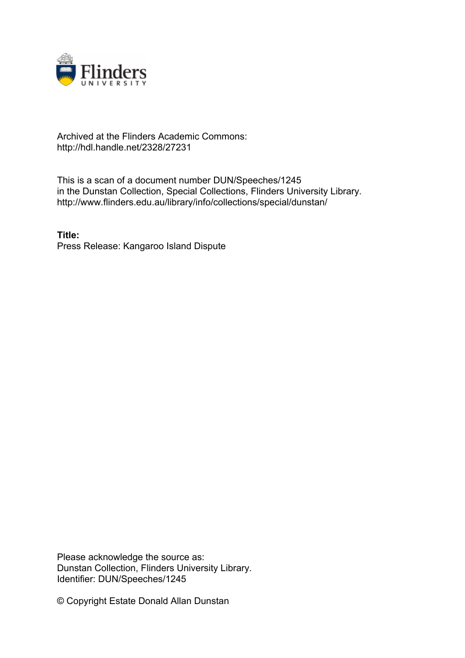

## Archived at the Flinders Academic Commons: http://hdl.handle.net/2328/27231

This is a scan of a document number DUN/Speeches/1245 in the Dunstan Collection, Special Collections, Flinders University Library. http://www.flinders.edu.au/library/info/collections/special/dunstan/

**Title:** Press Release: Kangaroo Island Dispute

Please acknowledge the source as: Dunstan Collection, Flinders University Library. Identifier: DUN/Speeches/1245

© Copyright Estate Donald Allan Dunstan